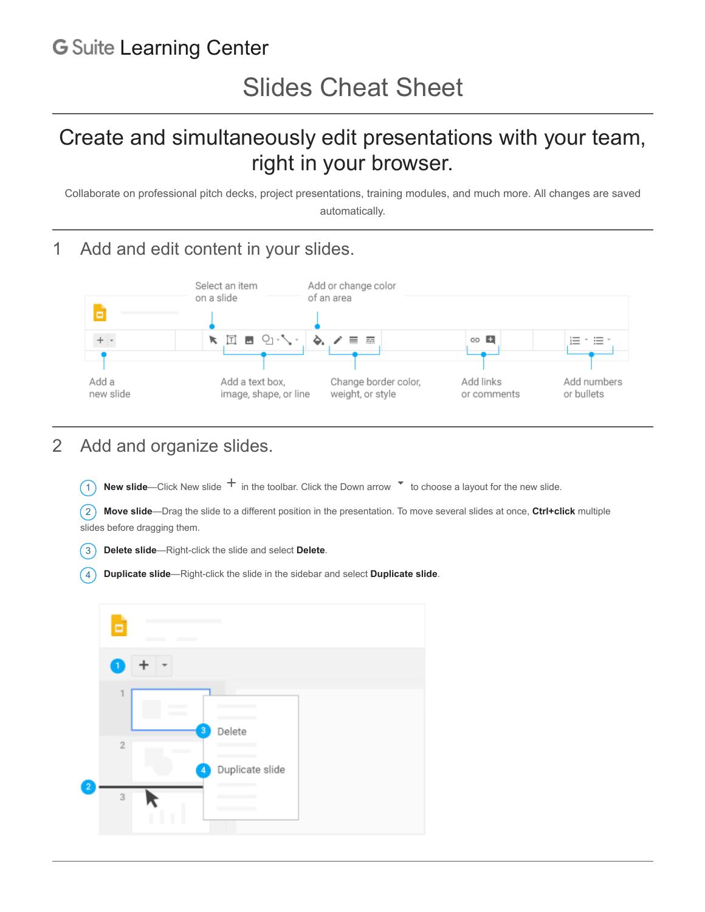## **G** Suite [Learning Center](https://gsuite.google.com/learning-center/)

# Create and simultaneously edit presentations with your team, right in your browser.

Collaborate on professional pitch decks, project presentations, training modules, and much more. All changes are saved automatically.

#### 1 Add and edit content in your slides.



#### 2 Add and organize slides.

 $\overline{1}$  **New slide**—Click New slide  $\overline{1}$  in the toolbar. Click the Down arrow  $\overline{1}$  to choose a layout for the new slide.

2 **Move slide**—Drag the slide to a different position in the presentation. To move several slides at once, **Ctrl+click** multiple slides before dragging them.

- 3 **Delete slide**—Right-click the slide and select **Delete**.
- 4 **Duplicate slide**—Right-click the slide in the sidebar and select **Duplicate slide**.

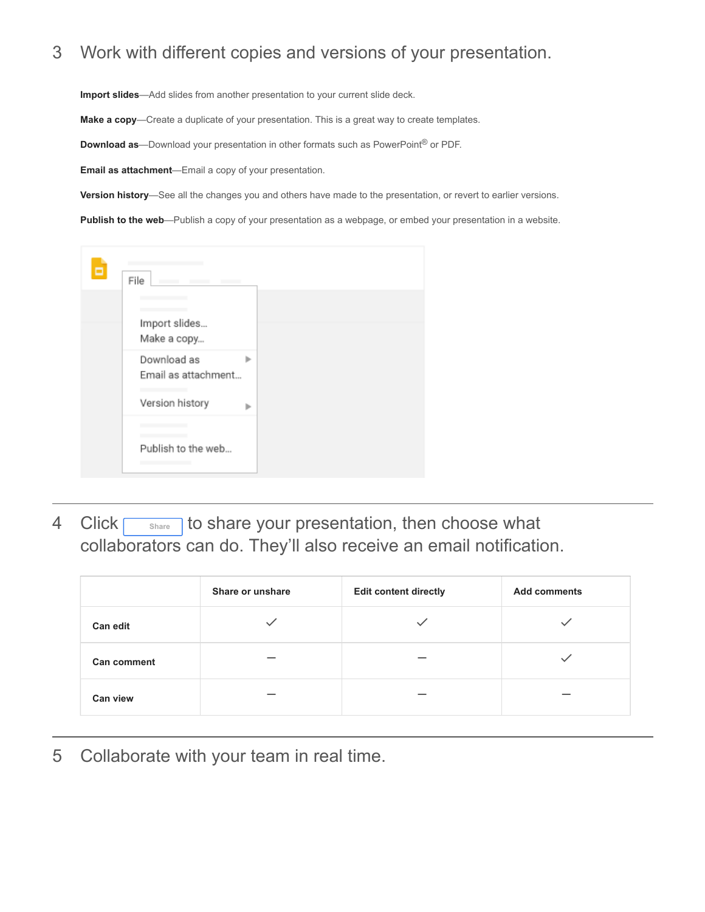### 3 Work with different copies and versions of your presentation.

**Import slides**—Add slides from another presentation to your current slide deck.

**Make a copy**—Create a duplicate of your presentation. This is a great way to create templates.

**Download as**—Download your presentation in other formats such as PowerPoint® or PDF.

**Email as attachment**—Email a copy of your presentation.

**Version history**—See all the changes you and others have made to the presentation, or revert to earlier versions.

**Publish to the web**—Publish a copy of your presentation as a webpage, or embed your presentation in a website.

| Б | File                                                  |   |
|---|-------------------------------------------------------|---|
|   | Import slides<br>Make a copy                          |   |
|   | Download as<br>Email as attachment<br>Version history | ь |
|   | Publish to the web                                    |   |

4 Click **Share** to share your presentation, then choose what collaborators can do. They'll also receive an email notification.

|                    | Share or unshare | <b>Edit content directly</b> | <b>Add comments</b> |
|--------------------|------------------|------------------------------|---------------------|
| <b>Can edit</b>    |                  |                              |                     |
| <b>Can comment</b> |                  |                              |                     |
| Can view           |                  |                              |                     |

5 Collaborate with your team in real time.